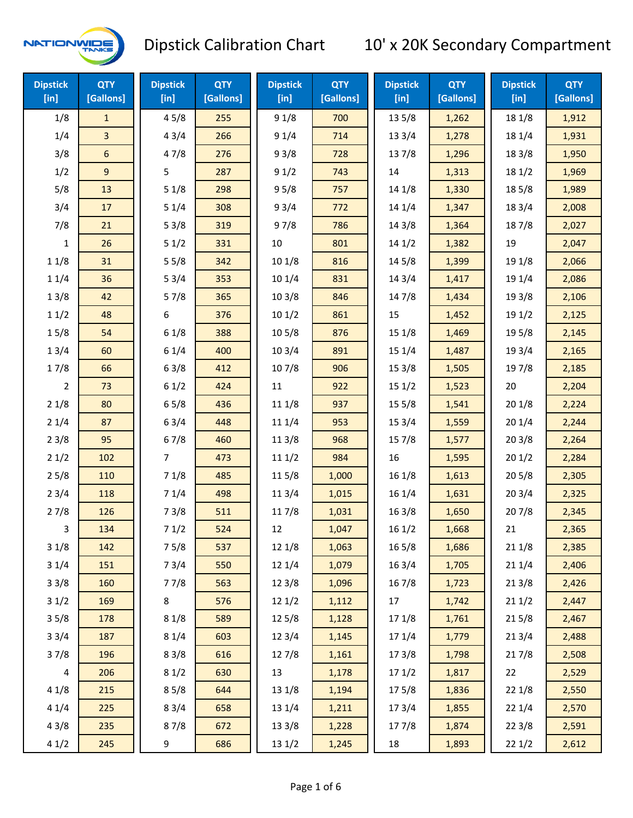

| <b>Dipstick</b><br>[in] | <b>QTY</b><br>[Gallons] | <b>Dipstick</b><br>$[$ in] | <b>QTY</b><br>[Gallons] | <b>Dipstick</b><br>[ <sub>in</sub> ] | <b>QTY</b><br>[Gallons] | <b>Dipstick</b><br>[in] | <b>QTY</b><br>[Gallons] | <b>Dipstick</b><br>$[$ in] | <b>QTY</b><br>[Gallons] |
|-------------------------|-------------------------|----------------------------|-------------------------|--------------------------------------|-------------------------|-------------------------|-------------------------|----------------------------|-------------------------|
| 1/8                     | $\mathbf{1}$            | 45/8                       | 255                     | 91/8                                 | 700                     | 13 5/8                  | 1,262                   | 18 1/8                     | 1,912                   |
| 1/4                     | 3                       | 43/4                       | 266                     | 91/4                                 | 714                     | 13 3/4                  | 1,278                   | 18 1/4                     | 1,931                   |
| 3/8                     | $\boldsymbol{6}$        | 47/8                       | 276                     | 93/8                                 | 728                     | 137/8                   | 1,296                   | 18 3/8                     | 1,950                   |
| 1/2                     | 9                       | 5                          | 287                     | 91/2                                 | 743                     | 14                      | 1,313                   | 181/2                      | 1,969                   |
| 5/8                     | 13                      | 51/8                       | 298                     | 95/8                                 | 757                     | 14 1/8                  | 1,330                   | 185/8                      | 1,989                   |
| 3/4                     | 17                      | 51/4                       | 308                     | 93/4                                 | 772                     | 14 1/4                  | 1,347                   | 18 3/4                     | 2,008                   |
| 7/8                     | 21                      | 53/8                       | 319                     | 97/8                                 | 786                     | 14 3/8                  | 1,364                   | 187/8                      | 2,027                   |
| $\mathbf{1}$            | 26                      | 51/2                       | 331                     | 10                                   | 801                     | 141/2                   | 1,382                   | 19                         | 2,047                   |
| 11/8                    | 31                      | 55/8                       | 342                     | 10 1/8                               | 816                     | 14 5/8                  | 1,399                   | 19 1/8                     | 2,066                   |
| 11/4                    | 36                      | 53/4                       | 353                     | 10 1/4                               | 831                     | 14 3/4                  | 1,417                   | 19 1/4                     | 2,086                   |
| 13/8                    | 42                      | 57/8                       | 365                     | 103/8                                | 846                     | 147/8                   | 1,434                   | 19 3/8                     | 2,106                   |
| 11/2                    | 48                      | 6                          | 376                     | 101/2                                | 861                     | 15                      | 1,452                   | 19 1/2                     | 2,125                   |
| 15/8                    | 54                      | 61/8                       | 388                     | 10 <sub>5</sub> /8                   | 876                     | 15 1/8                  | 1,469                   | 19 5/8                     | 2,145                   |
| 13/4                    | 60                      | 61/4                       | 400                     | 103/4                                | 891                     | 15 1/4                  | 1,487                   | 19 3/4                     | 2,165                   |
| 17/8                    | 66                      | 63/8                       | 412                     | 107/8                                | 906                     | 153/8                   | 1,505                   | 197/8                      | 2,185                   |
| 2                       | 73                      | 61/2                       | 424                     | 11                                   | 922                     | 151/2                   | 1,523                   | 20                         | 2,204                   |
| 21/8                    | 80                      | 65/8                       | 436                     | 11 1/8                               | 937                     | 15 5/8                  | 1,541                   | 201/8                      | 2,224                   |
| 21/4                    | 87                      | 63/4                       | 448                     | 11 1/4                               | 953                     | 153/4                   | 1,559                   | 201/4                      | 2,244                   |
| 23/8                    | 95                      | 67/8                       | 460                     | 11 3/8                               | 968                     | 15 7/8                  | 1,577                   | 203/8                      | 2,264                   |
| 21/2                    | 102                     | $\overline{7}$             | 473                     | 111/2                                | 984                     | 16                      | 1,595                   | 201/2                      | 2,284                   |
| 25/8                    | 110                     | 71/8                       | 485                     | 11 5/8                               | 1,000                   | 16 1/8                  | 1,613                   | 205/8                      | 2,305                   |
| 23/4                    | 118                     | 71/4                       | 498                     | 113/4                                | 1,015                   | 16 1/4                  | 1,631                   | 203/4                      | 2,325                   |
| 27/8                    | 126                     | 73/8                       | 511                     | 117/8                                | 1,031                   | 16 3/8                  | 1,650                   | 207/8                      | 2,345                   |
| 3                       | 134                     | 71/2                       | 524                     | 12                                   | 1,047                   | 161/2                   | 1,668                   | 21                         | 2,365                   |
| 31/8                    | 142                     | 75/8                       | 537                     | 12 1/8                               | 1,063                   | 16 5/8                  | 1,686                   | 21 1/8                     | 2,385                   |
| 31/4                    | 151                     | 73/4                       | 550                     | 12 1/4                               | 1,079                   | 16 3/4                  | 1,705                   | 211/4                      | 2,406                   |
| 33/8                    | 160                     | 77/8                       | 563                     | 12 3/8                               | 1,096                   | 16 7/8                  | 1,723                   | 213/8                      | 2,426                   |
| 31/2                    | 169                     | 8                          | 576                     | 121/2                                | 1,112                   | 17                      | 1,742                   | 211/2                      | 2,447                   |
| 35/8                    | 178                     | 81/8                       | 589                     | 12 5/8                               | 1,128                   | 17 1/8                  | 1,761                   | 215/8                      | 2,467                   |
| 33/4                    | 187                     | 81/4                       | 603                     | 123/4                                | 1,145                   | 17 1/4                  | 1,779                   | 213/4                      | 2,488                   |
| 37/8                    | 196                     | 83/8                       | 616                     | 127/8                                | 1,161                   | 173/8                   | 1,798                   | 217/8                      | 2,508                   |
| $\overline{\mathbf{4}}$ | 206                     | 81/2                       | 630                     | 13                                   | 1,178                   | 171/2                   | 1,817                   | 22                         | 2,529                   |
| 41/8                    | 215                     | 85/8                       | 644                     | 13 1/8                               | 1,194                   | 175/8                   | 1,836                   | 221/8                      | 2,550                   |
| 41/4                    | 225                     | 83/4                       | 658                     | 13 1/4                               | 1,211                   | 17 3/4                  | 1,855                   | 221/4                      | 2,570                   |
| 43/8                    | 235                     | 87/8                       | 672                     | 13 3/8                               | 1,228                   | 177/8                   | 1,874                   | 223/8                      | 2,591                   |
| 41/2                    | 245                     | 9                          | 686                     | 13 1/2                               | 1,245                   | 18                      | 1,893                   | 221/2                      | 2,612                   |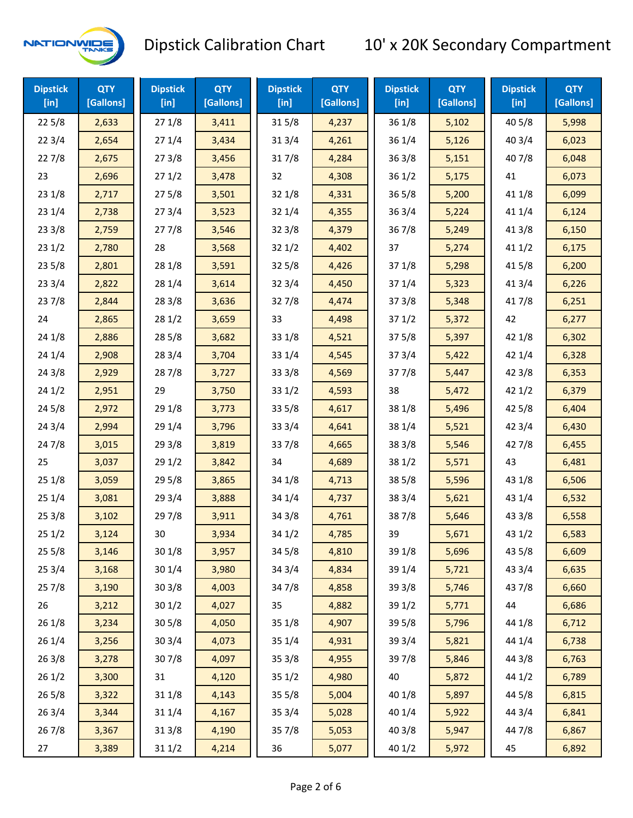

| <b>Dipstick</b><br>$[$ in] | <b>QTY</b><br>[Gallons] | <b>Dipstick</b><br>$[$ in] | <b>QTY</b><br>[Gallons] | <b>Dipstick</b><br>$[$ in] | <b>QTY</b><br>[Gallons] | <b>Dipstick</b><br>$[$ in] | <b>QTY</b><br>[Gallons] | <b>Dipstick</b><br>$[$ in] | <b>QTY</b><br>[Gallons] |
|----------------------------|-------------------------|----------------------------|-------------------------|----------------------------|-------------------------|----------------------------|-------------------------|----------------------------|-------------------------|
| 225/8                      | 2,633                   | 271/8                      | 3,411                   | 315/8                      | 4,237                   | 36 1/8                     | 5,102                   | 40 5/8                     | 5,998                   |
| 223/4                      | 2,654                   | 271/4                      | 3,434                   | 31 3/4                     | 4,261                   | 36 1/4                     | 5,126                   | 403/4                      | 6,023                   |
| 227/8                      | 2,675                   | 273/8                      | 3,456                   | 317/8                      | 4,284                   | 363/8                      | 5,151                   | 407/8                      | 6,048                   |
| 23                         | 2,696                   | 271/2                      | 3,478                   | 32                         | 4,308                   | 361/2                      | 5,175                   | 41                         | 6,073                   |
| 231/8                      | 2,717                   | 275/8                      | 3,501                   | 32 1/8                     | 4,331                   | 365/8                      | 5,200                   | 41 1/8                     | 6,099                   |
| 231/4                      | 2,738                   | 273/4                      | 3,523                   | 32 1/4                     | 4,355                   | 363/4                      | 5,224                   | 41 1/4                     | 6,124                   |
| 233/8                      | 2,759                   | 277/8                      | 3,546                   | 32 3/8                     | 4,379                   | 367/8                      | 5,249                   | 413/8                      | 6,150                   |
| 231/2                      | 2,780                   | 28                         | 3,568                   | 321/2                      | 4,402                   | 37                         | 5,274                   | 411/2                      | 6,175                   |
| 235/8                      | 2,801                   | 28 1/8                     | 3,591                   | 325/8                      | 4,426                   | 37 1/8                     | 5,298                   | 41 5/8                     | 6,200                   |
| 233/4                      | 2,822                   | 28 1/4                     | 3,614                   | 32 3/4                     | 4,450                   | 37 1/4                     | 5,323                   | 41 3/4                     | 6,226                   |
| 237/8                      | 2,844                   | 28 3/8                     | 3,636                   | 327/8                      | 4,474                   | 373/8                      | 5,348                   | 417/8                      | 6,251                   |
| 24                         | 2,865                   | 28 1/2                     | 3,659                   | 33                         | 4,498                   | 371/2                      | 5,372                   | 42                         | 6,277                   |
| 24 1/8                     | 2,886                   | 28 5/8                     | 3,682                   | 33 1/8                     | 4,521                   | 375/8                      | 5,397                   | 42 1/8                     | 6,302                   |
| 241/4                      | 2,908                   | 28 3/4                     | 3,704                   | 33 1/4                     | 4,545                   | 373/4                      | 5,422                   | 42 1/4                     | 6,328                   |
| 243/8                      | 2,929                   | 287/8                      | 3,727                   | 33 3/8                     | 4,569                   | 377/8                      | 5,447                   | 42 3/8                     | 6,353                   |
| 241/2                      | 2,951                   | 29                         | 3,750                   | 33 1/2                     | 4,593                   | 38                         | 5,472                   | 421/2                      | 6,379                   |
| 245/8                      | 2,972                   | 29 1/8                     | 3,773                   | 33 5/8                     | 4,617                   | 38 1/8                     | 5,496                   | 42 5/8                     | 6,404                   |
| 243/4                      | 2,994                   | 29 1/4                     | 3,796                   | 33 3/4                     | 4,641                   | 38 1/4                     | 5,521                   | 42 3/4                     | 6,430                   |
| 24 7/8                     | 3,015                   | 29 3/8                     | 3,819                   | 337/8                      | 4,665                   | 38 3/8                     | 5,546                   | 42 7/8                     | 6,455                   |
| 25                         | 3,037                   | 29 1/2                     | 3,842                   | 34                         | 4,689                   | 38 1/2                     | 5,571                   | 43                         | 6,481                   |
| 251/8                      | 3,059                   | 29 5/8                     | 3,865                   | 34 1/8                     | 4,713                   | 38 5/8                     | 5,596                   | 43 1/8                     | 6,506                   |
| 251/4                      | 3,081                   | 29 3/4                     | 3,888                   | 34 1/4                     | 4,737                   | 38 3/4                     | 5,621                   | 43 1/4                     | 6,532                   |
| 253/8                      | 3,102                   | 297/8                      | 3,911                   | 34 3/8                     | 4,761                   | 387/8                      | 5,646                   | 43 3/8                     | 6,558                   |
| 251/2                      | 3,124                   | 30                         | 3,934                   | 34 1/2                     | 4,785                   | 39                         | 5,671                   | 43 1/2                     | 6,583                   |
| 255/8                      | 3,146                   | 30 1/8                     | 3,957                   | 34 5/8                     | 4,810                   | 39 1/8                     | 5,696                   | 43 5/8                     | 6,609                   |
| 253/4                      | 3,168                   | 30 1/4                     | 3,980                   | 34 3/4                     | 4,834                   | 39 1/4                     | 5,721                   | 43 3/4                     | 6,635                   |
| 257/8                      | 3,190                   | 303/8                      | 4,003                   | 347/8                      | 4,858                   | 39 3/8                     | 5,746                   | 437/8                      | 6,660                   |
| 26                         | 3,212                   | 301/2                      | 4,027                   | 35                         | 4,882                   | 39 1/2                     | 5,771                   | 44                         | 6,686                   |
| 26 1/8                     | 3,234                   | 305/8                      | 4,050                   | 35 1/8                     | 4,907                   | 39 5/8                     | 5,796                   | 44 1/8                     | 6,712                   |
| 261/4                      | 3,256                   | 30 3/4                     | 4,073                   | 35 1/4                     | 4,931                   | 39 3/4                     | 5,821                   | 44 1/4                     | 6,738                   |
| 263/8                      | 3,278                   | 307/8                      | 4,097                   | 35 3/8                     | 4,955                   | 397/8                      | 5,846                   | 44 3/8                     | 6,763                   |
| 261/2                      | 3,300                   | 31                         | 4,120                   | 35 1/2                     | 4,980                   | 40                         | 5,872                   | 44 1/2                     | 6,789                   |
| 265/8                      | 3,322                   | 31 1/8                     | 4,143                   | 35 5/8                     | 5,004                   | 40 1/8                     | 5,897                   | 44 5/8                     | 6,815                   |
| 263/4                      | 3,344                   | 31 1/4                     | 4,167                   | 35 3/4                     | 5,028                   | 40 1/4                     | 5,922                   | 44 3/4                     | 6,841                   |
| 267/8                      | 3,367                   | 31 3/8                     | 4,190                   | 357/8                      | 5,053                   | 40 3/8                     | 5,947                   | 447/8                      | 6,867                   |
| 27                         | 3,389                   | 31 1/2                     | 4,214                   | 36                         | 5,077                   | 40 1/2                     | 5,972                   | 45                         | 6,892                   |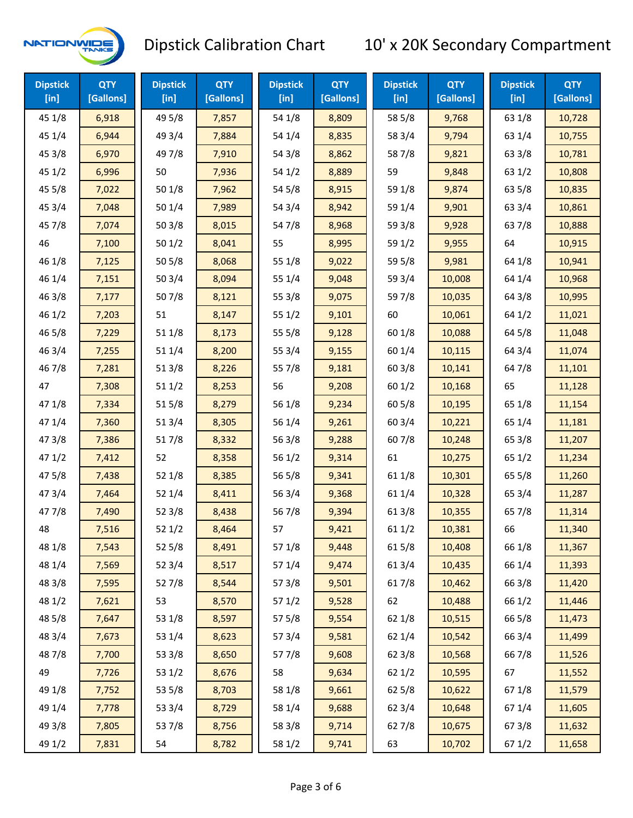

| <b>Dipstick</b><br>$[$ in] | <b>QTY</b><br>[Gallons] | <b>Dipstick</b><br>$[$ in] | <b>QTY</b><br>[Gallons] | <b>Dipstick</b><br>$[$ in] | <b>QTY</b><br>[Gallons] | <b>Dipstick</b><br>$[$ in] | <b>QTY</b><br>[Gallons] | <b>Dipstick</b><br>$[$ in] | <b>QTY</b><br>[Gallons] |
|----------------------------|-------------------------|----------------------------|-------------------------|----------------------------|-------------------------|----------------------------|-------------------------|----------------------------|-------------------------|
| 45 1/8                     | 6,918                   | 49 5/8                     | 7,857                   | 54 1/8                     | 8,809                   | 58 5/8                     | 9,768                   | 63 1/8                     | 10,728                  |
| 45 1/4                     | 6,944                   | 49 3/4                     | 7,884                   | 54 1/4                     | 8,835                   | 58 3/4                     | 9,794                   | 63 1/4                     | 10,755                  |
| 45 3/8                     | 6,970                   | 49 7/8                     | 7,910                   | 54 3/8                     | 8,862                   | 587/8                      | 9,821                   | 63 3/8                     | 10,781                  |
| 45 1/2                     | 6,996                   | 50                         | 7,936                   | 54 1/2                     | 8,889                   | 59                         | 9,848                   | 63 1/2                     | 10,808                  |
| 45 5/8                     | 7,022                   | 50 1/8                     | 7,962                   | 54 5/8                     | 8,915                   | 59 1/8                     | 9,874                   | 63 5/8                     | 10,835                  |
| 45 3/4                     | 7,048                   | 50 1/4                     | 7,989                   | 54 3/4                     | 8,942                   | 59 1/4                     | 9,901                   | 63 3/4                     | 10,861                  |
| 45 7/8                     | 7,074                   | 503/8                      | 8,015                   | 54 7/8                     | 8,968                   | 59 3/8                     | 9,928                   | 63 7/8                     | 10,888                  |
| 46                         | 7,100                   | 501/2                      | 8,041                   | 55                         | 8,995                   | 59 1/2                     | 9,955                   | 64                         | 10,915                  |
| 46 1/8                     | 7,125                   | 50 5/8                     | 8,068                   | 55 1/8                     | 9,022                   | 59 5/8                     | 9,981                   | 64 1/8                     | 10,941                  |
| 46 1/4                     | 7,151                   | 50 3/4                     | 8,094                   | 55 1/4                     | 9,048                   | 59 3/4                     | 10,008                  | 64 1/4                     | 10,968                  |
| 46 3/8                     | 7,177                   | 507/8                      | 8,121                   | 553/8                      | 9,075                   | 597/8                      | 10,035                  | 64 3/8                     | 10,995                  |
| 46 1/2                     | 7,203                   | 51                         | 8,147                   | 55 1/2                     | 9,101                   | 60                         | 10,061                  | 64 1/2                     | 11,021                  |
| 46 5/8                     | 7,229                   | 51 1/8                     | 8,173                   | 55 5/8                     | 9,128                   | 60 1/8                     | 10,088                  | 64 5/8                     | 11,048                  |
| 46 3/4                     | 7,255                   | 511/4                      | 8,200                   | 55 3/4                     | 9,155                   | 60 1/4                     | 10,115                  | 64 3/4                     | 11,074                  |
| 467/8                      | 7,281                   | 513/8                      | 8,226                   | 55 7/8                     | 9,181                   | 603/8                      | 10,141                  | 64 7/8                     | 11,101                  |
| 47                         | 7,308                   | 51 1/2                     | 8,253                   | 56                         | 9,208                   | 601/2                      | 10,168                  | 65                         | 11,128                  |
| 47 1/8                     | 7,334                   | 515/8                      | 8,279                   | 56 1/8                     | 9,234                   | 605/8                      | 10,195                  | 65 1/8                     | 11,154                  |
| 47 1/4                     | 7,360                   | 51 3/4                     | 8,305                   | 56 1/4                     | 9,261                   | 60 3/4                     | 10,221                  | 65 1/4                     | 11,181                  |
| 47 3/8                     | 7,386                   | 517/8                      | 8,332                   | 56 3/8                     | 9,288                   | 607/8                      | 10,248                  | 65 3/8                     | 11,207                  |
| 471/2                      | 7,412                   | 52                         | 8,358                   | 561/2                      | 9,314                   | 61                         | 10,275                  | 65 1/2                     | 11,234                  |
| 475/8                      | 7,438                   | 52 1/8                     | 8,385                   | 56 5/8                     | 9,341                   | 61 1/8                     | 10,301                  | 65 5/8                     | 11,260                  |
| 47 3/4                     | 7,464                   | 52 1/4                     | 8,411                   | 56 3/4                     | 9,368                   | 61 1/4                     | 10,328                  | 65 3/4                     | 11,287                  |
| 47 7/8                     | 7,490                   | 52 3/8                     | 8,438                   | 567/8                      | 9,394                   | 61 3/8                     | 10,355                  | 65 7/8                     | 11,314                  |
| 48                         | 7,516                   | 52 1/2                     | 8,464                   | 57                         | 9,421                   | 611/2                      | 10,381                  | 66                         | 11,340                  |
| 48 1/8                     | 7,543                   | 525/8                      | 8,491                   | 571/8                      | 9,448                   | 615/8                      | 10,408                  | 66 1/8                     | 11,367                  |
| 48 1/4                     | 7,569                   | 52 3/4                     | 8,517                   | 57 1/4                     | 9,474                   | 613/4                      | 10,435                  | 66 1/4                     | 11,393                  |
| 48 3/8                     | 7,595                   | 527/8                      | 8,544                   | 57 3/8                     | 9,501                   | 617/8                      | 10,462                  | 66 3/8                     | 11,420                  |
| 48 1/2                     | 7,621                   | 53                         | 8,570                   | 571/2                      | 9,528                   | 62                         | 10,488                  | 66 1/2                     | 11,446                  |
| 48 5/8                     | 7,647                   | 53 1/8                     | 8,597                   | 57 5/8                     | 9,554                   | 62 1/8                     | 10,515                  | 66 5/8                     | 11,473                  |
| 48 3/4                     | 7,673                   | 53 1/4                     | 8,623                   | 573/4                      | 9,581                   | 62 1/4                     | 10,542                  | 66 3/4                     | 11,499                  |
| 487/8                      | 7,700                   | 53 3/8                     | 8,650                   | 577/8                      | 9,608                   | 62 3/8                     | 10,568                  | 66 7/8                     | 11,526                  |
| 49                         | 7,726                   | 53 1/2                     | 8,676                   | 58                         | 9,634                   | 621/2                      | 10,595                  | 67                         | 11,552                  |
| 49 1/8                     | 7,752                   | 53 5/8                     | 8,703                   | 58 1/8                     | 9,661                   | 62 5/8                     | 10,622                  | 671/8                      | 11,579                  |
| 49 1/4                     | 7,778                   | 53 3/4                     | 8,729                   | 58 1/4                     | 9,688                   | 62 3/4                     | 10,648                  | 67 1/4                     | 11,605                  |
| 49 3/8                     | 7,805                   | 537/8                      | 8,756                   | 58 3/8                     | 9,714                   | 627/8                      | 10,675                  | 67 3/8                     | 11,632                  |
| 49 1/2                     | 7,831                   | 54                         | 8,782                   | 58 1/2                     | 9,741                   | 63                         | 10,702                  | 67 1/2                     | 11,658                  |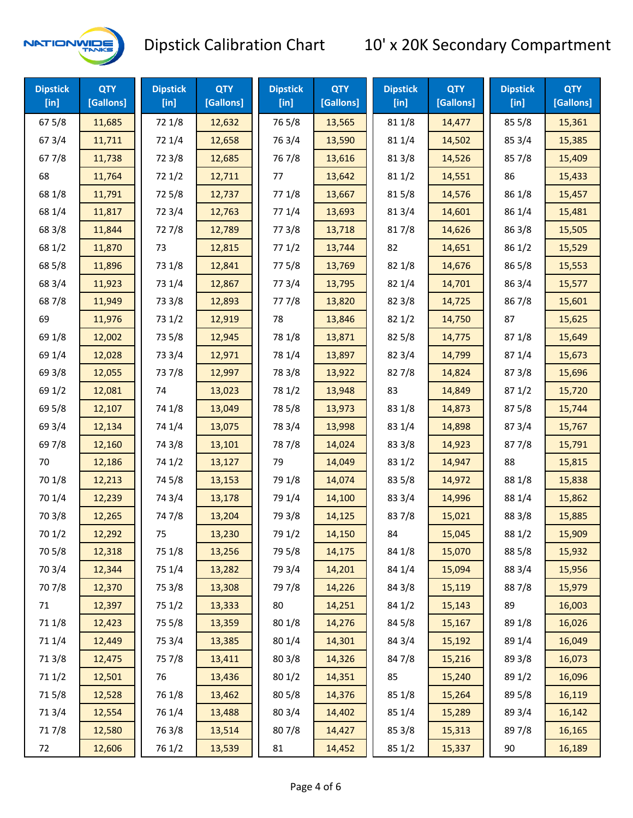

| <b>Dipstick</b><br>[in] | <b>QTY</b><br>[Gallons] | <b>Dipstick</b><br>$[$ in] | <b>QTY</b><br>[Gallons] | <b>Dipstick</b><br>$[$ in] | <b>QTY</b><br>[Gallons] | <b>Dipstick</b><br>$[$ in] | <b>QTY</b><br>[Gallons] | <b>Dipstick</b><br>$[$ in] | <b>QTY</b><br>[Gallons] |
|-------------------------|-------------------------|----------------------------|-------------------------|----------------------------|-------------------------|----------------------------|-------------------------|----------------------------|-------------------------|
| 67 5/8                  | 11,685                  | 72 1/8                     | 12,632                  | 765/8                      | 13,565                  | 81 1/8                     | 14,477                  | 85 5/8                     | 15,361                  |
| 67 3/4                  | 11,711                  | 72 1/4                     | 12,658                  | 763/4                      | 13,590                  | 81 1/4                     | 14,502                  | 85 3/4                     | 15,385                  |
| 677/8                   | 11,738                  | 72 3/8                     | 12,685                  | 76 7/8                     | 13,616                  | 81 3/8                     | 14,526                  | 857/8                      | 15,409                  |
| 68                      | 11,764                  | 72 1/2                     | 12,711                  | 77                         | 13,642                  | 81 1/2                     | 14,551                  | 86                         | 15,433                  |
| 68 1/8                  | 11,791                  | 725/8                      | 12,737                  | 77 1/8                     | 13,667                  | 815/8                      | 14,576                  | 86 1/8                     | 15,457                  |
| 68 1/4                  | 11,817                  | 72 3/4                     | 12,763                  | 77 1/4                     | 13,693                  | 813/4                      | 14,601                  | 86 1/4                     | 15,481                  |
| 68 3/8                  | 11,844                  | 727/8                      | 12,789                  | 77 3/8                     | 13,718                  | 817/8                      | 14,626                  | 86 3/8                     | 15,505                  |
| 68 1/2                  | 11,870                  | 73                         | 12,815                  | 771/2                      | 13,744                  | 82                         | 14,651                  | 86 1/2                     | 15,529                  |
| 68 5/8                  | 11,896                  | 73 1/8                     | 12,841                  | 775/8                      | 13,769                  | 82 1/8                     | 14,676                  | 86 5/8                     | 15,553                  |
| 68 3/4                  | 11,923                  | 73 1/4                     | 12,867                  | 773/4                      | 13,795                  | 82 1/4                     | 14,701                  | 86 3/4                     | 15,577                  |
| 687/8                   | 11,949                  | 73 3/8                     | 12,893                  | 777/8                      | 13,820                  | 82 3/8                     | 14,725                  | 867/8                      | 15,601                  |
| 69                      | 11,976                  | 73 1/2                     | 12,919                  | 78                         | 13,846                  | 821/2                      | 14,750                  | 87                         | 15,625                  |
| 69 1/8                  | 12,002                  | 73 5/8                     | 12,945                  | 78 1/8                     | 13,871                  | 82 5/8                     | 14,775                  | 871/8                      | 15,649                  |
| 69 1/4                  | 12,028                  | 73 3/4                     | 12,971                  | 78 1/4                     | 13,897                  | 82 3/4                     | 14,799                  | 871/4                      | 15,673                  |
| 69 3/8                  | 12,055                  | 737/8                      | 12,997                  | 78 3/8                     | 13,922                  | 827/8                      | 14,824                  | 87 3/8                     | 15,696                  |
| 69 1/2                  | 12,081                  | 74                         | 13,023                  | 78 1/2                     | 13,948                  | 83                         | 14,849                  | 871/2                      | 15,720                  |
| 69 5/8                  | 12,107                  | 74 1/8                     | 13,049                  | 78 5/8                     | 13,973                  | 83 1/8                     | 14,873                  | 87 5/8                     | 15,744                  |
| 69 3/4                  | 12,134                  | 74 1/4                     | 13,075                  | 78 3/4                     | 13,998                  | 83 1/4                     | 14,898                  | 87 3/4                     | 15,767                  |
| 697/8                   | 12,160                  | 74 3/8                     | 13,101                  | 787/8                      | 14,024                  | 83 3/8                     | 14,923                  | 877/8                      | 15,791                  |
| 70                      | 12,186                  | 74 1/2                     | 13,127                  | 79                         | 14,049                  | 83 1/2                     | 14,947                  | 88                         | 15,815                  |
| 70 1/8                  | 12,213                  | 74 5/8                     | 13,153                  | 79 1/8                     | 14,074                  | 83 5/8                     | 14,972                  | 88 1/8                     | 15,838                  |
| 70 1/4                  | 12,239                  | 74 3/4                     | 13,178                  | 79 1/4                     | 14,100                  | 83 3/4                     | 14,996                  | 88 1/4                     | 15,862                  |
| 70 3/8                  | 12,265                  | 747/8                      | 13,204                  | 79 3/8                     | 14,125                  | 837/8                      | 15,021                  | 88 3/8                     | 15,885                  |
| 70 1/2                  | 12,292                  | 75                         | 13,230                  | 79 1/2                     | 14,150                  | 84                         | 15,045                  | 88 1/2                     | 15,909                  |
| 70 5/8                  | 12,318                  | 75 1/8                     | 13,256                  | 79 5/8                     | 14,175                  | 84 1/8                     | 15,070                  | 88 5/8                     | 15,932                  |
| 70 3/4                  | 12,344                  | 75 1/4                     | 13,282                  | 79 3/4                     | 14,201                  | 84 1/4                     | 15,094                  | 88 3/4                     | 15,956                  |
| 70 7/8                  | 12,370                  | 75 3/8                     | 13,308                  | 79 7/8                     | 14,226                  | 84 3/8                     | 15,119                  | 887/8                      | 15,979                  |
| 71                      | 12,397                  | 75 1/2                     | 13,333                  | 80                         | 14,251                  | 84 1/2                     | 15,143                  | 89                         | 16,003                  |
| 71 1/8                  | 12,423                  | 75 5/8                     | 13,359                  | 80 1/8                     | 14,276                  | 84 5/8                     | 15,167                  | 89 1/8                     | 16,026                  |
| 71 1/4                  | 12,449                  | 75 3/4                     | 13,385                  | 80 1/4                     | 14,301                  | 84 3/4                     | 15,192                  | 89 1/4                     | 16,049                  |
| 713/8                   | 12,475                  | 75 7/8                     | 13,411                  | 80 3/8                     | 14,326                  | 847/8                      | 15,216                  | 89 3/8                     | 16,073                  |
| 71 1/2                  | 12,501                  | 76                         | 13,436                  | 80 1/2                     | 14,351                  | 85                         | 15,240                  | 89 1/2                     | 16,096                  |
| 715/8                   | 12,528                  | 76 1/8                     | 13,462                  | 80 5/8                     | 14,376                  | 85 1/8                     | 15,264                  | 89 5/8                     | 16,119                  |
| 713/4                   | 12,554                  | 76 1/4                     | 13,488                  | 80 3/4                     | 14,402                  | 85 1/4                     | 15,289                  | 89 3/4                     | 16,142                  |
| 717/8                   | 12,580                  | 763/8                      | 13,514                  | 807/8                      | 14,427                  | 85 3/8                     | 15,313                  | 897/8                      | 16,165                  |
| 72                      | 12,606                  | 76 1/2                     | 13,539                  | 81                         | 14,452                  | 85 1/2                     | 15,337                  | 90                         | 16,189                  |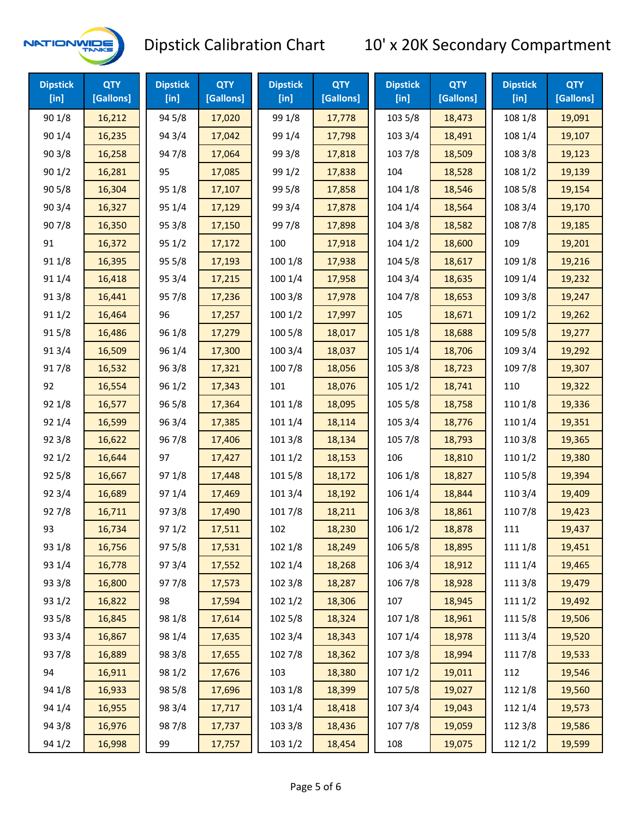

| <b>Dipstick</b><br>$[$ in] | <b>QTY</b><br>[Gallons] | <b>Dipstick</b><br>[in] | <b>QTY</b><br>[Gallons] | <b>Dipstick</b><br>$[$ in] | <b>QTY</b><br>[Gallons] | <b>Dipstick</b><br>$[$ in] | <b>QTY</b><br>[Gallons] | <b>Dipstick</b><br>$[$ in] | <b>QTY</b><br>[Gallons] |
|----------------------------|-------------------------|-------------------------|-------------------------|----------------------------|-------------------------|----------------------------|-------------------------|----------------------------|-------------------------|
| 90 1/8                     | 16,212                  | 94 5/8                  | 17,020                  | 99 1/8                     | 17,778                  | 103 5/8                    | 18,473                  | 108 1/8                    | 19,091                  |
| 90 1/4                     | 16,235                  | 94 3/4                  | 17,042                  | 99 1/4                     | 17,798                  | 103 3/4                    | 18,491                  | 108 1/4                    | 19,107                  |
| 903/8                      | 16,258                  | 947/8                   | 17,064                  | 99 3/8                     | 17,818                  | 103 7/8                    | 18,509                  | 108 3/8                    | 19,123                  |
| 901/2                      | 16,281                  | 95                      | 17,085                  | 99 1/2                     | 17,838                  | 104                        | 18,528                  | 108 1/2                    | 19,139                  |
| 90 5/8                     | 16,304                  | 95 1/8                  | 17,107                  | 99 5/8                     | 17,858                  | 104 1/8                    | 18,546                  | 108 5/8                    | 19,154                  |
| 903/4                      | 16,327                  | 95 1/4                  | 17,129                  | 99 3/4                     | 17,878                  | 104 1/4                    | 18,564                  | 108 3/4                    | 19,170                  |
| 907/8                      | 16,350                  | 95 3/8                  | 17,150                  | 997/8                      | 17,898                  | 104 3/8                    | 18,582                  | 108 7/8                    | 19,185                  |
| 91                         | 16,372                  | 95 1/2                  | 17,172                  | 100                        | 17,918                  | 1041/2                     | 18,600                  | 109                        | 19,201                  |
| 91 1/8                     | 16,395                  | 95 5/8                  | 17,193                  | 100 1/8                    | 17,938                  | 104 5/8                    | 18,617                  | 109 1/8                    | 19,216                  |
| 91 1/4                     | 16,418                  | 95 3/4                  | 17,215                  | 100 1/4                    | 17,958                  | 104 3/4                    | 18,635                  | 109 1/4                    | 19,232                  |
| 913/8                      | 16,441                  | 95 7/8                  | 17,236                  | 100 3/8                    | 17,978                  | 104 7/8                    | 18,653                  | 109 3/8                    | 19,247                  |
| 91 1/2                     | 16,464                  | 96                      | 17,257                  | 1001/2                     | 17,997                  | 105                        | 18,671                  | 109 1/2                    | 19,262                  |
| 915/8                      | 16,486                  | 96 1/8                  | 17,279                  | 100 5/8                    | 18,017                  | 105 1/8                    | 18,688                  | 109 5/8                    | 19,277                  |
| 91 3/4                     | 16,509                  | 96 1/4                  | 17,300                  | 100 3/4                    | 18,037                  | 105 1/4                    | 18,706                  | 109 3/4                    | 19,292                  |
| 917/8                      | 16,532                  | 96 3/8                  | 17,321                  | 100 7/8                    | 18,056                  | 105 3/8                    | 18,723                  | 109 7/8                    | 19,307                  |
| 92                         | 16,554                  | 96 1/2                  | 17,343                  | 101                        | 18,076                  | 105 1/2                    | 18,741                  | 110                        | 19,322                  |
| 92 1/8                     | 16,577                  | 96 5/8                  | 17,364                  | 101 1/8                    | 18,095                  | 105 5/8                    | 18,758                  | 110 1/8                    | 19,336                  |
| 92 1/4                     | 16,599                  | 96 3/4                  | 17,385                  | 101 1/4                    | 18,114                  | 105 3/4                    | 18,776                  | 110 1/4                    | 19,351                  |
| 92 3/8                     | 16,622                  | 967/8                   | 17,406                  | 1013/8                     | 18,134                  | 105 7/8                    | 18,793                  | 110 3/8                    | 19,365                  |
| 921/2                      | 16,644                  | 97                      | 17,427                  | 1011/2                     | 18,153                  | 106                        | 18,810                  | 110 1/2                    | 19,380                  |
| 925/8                      | 16,667                  | 97 1/8                  | 17,448                  | 101 5/8                    | 18,172                  | 106 1/8                    | 18,827                  | 110 5/8                    | 19,394                  |
| 92 3/4                     | 16,689                  | 97 1/4                  | 17,469                  | 101 3/4                    | 18,192                  | 106 1/4                    | 18,844                  | 110 3/4                    | 19,409                  |
| 927/8                      | 16,711                  | 973/8                   | 17,490                  | 101 7/8                    | 18,211                  | 106 3/8                    | 18,861                  | 110 7/8                    | 19,423                  |
| 93                         | 16,734                  | 97 1/2                  | 17,511                  | 102                        | 18,230                  | 106 1/2                    | 18,878                  | 111                        | 19,437                  |
| 93 1/8                     | 16,756                  | 97 5/8                  | 17,531                  | 102 1/8                    | 18,249                  | 106 5/8                    | 18,895                  | 111 1/8                    | 19,451                  |
| 93 1/4                     | 16,778                  | 973/4                   | 17,552                  | 102 1/4                    | 18,268                  | 106 3/4                    | 18,912                  | 111 1/4                    | 19,465                  |
| 93 3/8                     | 16,800                  | 977/8                   | 17,573                  | 102 3/8                    | 18,287                  | 106 7/8                    | 18,928                  | 111 3/8                    | 19,479                  |
| 93 1/2                     | 16,822                  | 98                      | 17,594                  | 102 1/2                    | 18,306                  | 107                        | 18,945                  | 111 1/2                    | 19,492                  |
| 93 5/8                     | 16,845                  | 98 1/8                  | 17,614                  | 102 5/8                    | 18,324                  | 107 1/8                    | 18,961                  | 1115/8                     | 19,506                  |
| 93 3/4                     | 16,867                  | 98 1/4                  | 17,635                  | 102 3/4                    | 18,343                  | 107 1/4                    | 18,978                  | 111 3/4                    | 19,520                  |
| 937/8                      | 16,889                  | 98 3/8                  | 17,655                  | 102 7/8                    | 18,362                  | 107 3/8                    | 18,994                  | 111 7/8                    | 19,533                  |
| 94                         | 16,911                  | 98 1/2                  | 17,676                  | 103                        | 18,380                  | 1071/2                     | 19,011                  | 112                        | 19,546                  |
| 94 1/8                     | 16,933                  | 98 5/8                  | 17,696                  | 103 1/8                    | 18,399                  | 1075/8                     | 19,027                  | 112 1/8                    | 19,560                  |
| 94 1/4                     | 16,955                  | 98 3/4                  | 17,717                  | 103 1/4                    | 18,418                  | 107 3/4                    | 19,043                  | 112 1/4                    | 19,573                  |
| 94 3/8                     | 16,976                  | 987/8                   | 17,737                  | 103 3/8                    | 18,436                  | 1077/8                     | 19,059                  | 112 3/8                    | 19,586                  |
| 94 1/2                     | 16,998                  | 99                      | 17,757                  | 103 1/2                    | 18,454                  | 108                        | 19,075                  | 112 1/2                    | 19,599                  |